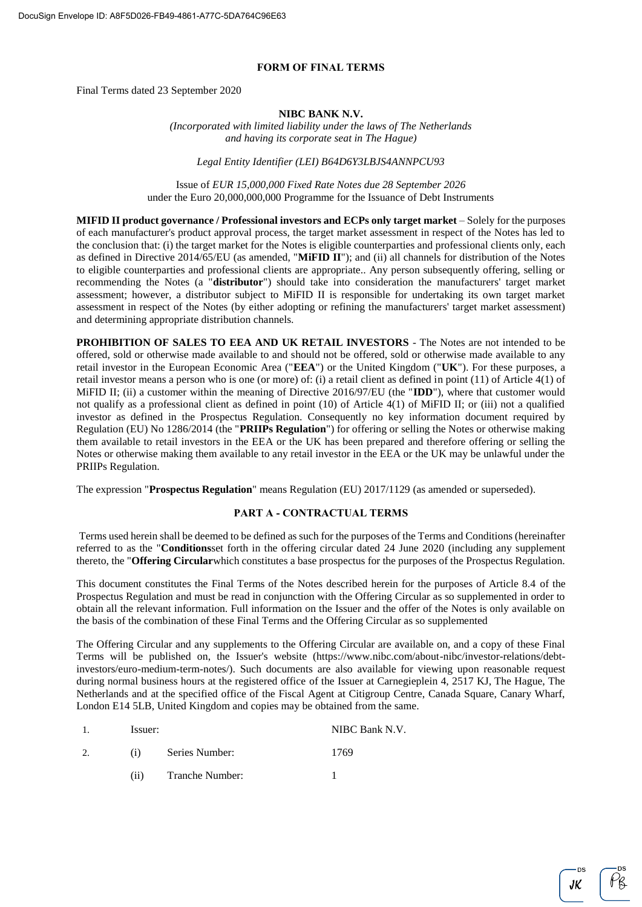### **FORM OF FINAL TERMS**

Final Terms dated 23 September 2020

### **NIBC BANK N.V.**

*(Incorporated with limited liability under the laws of The Netherlands and having its corporate seat in The Hague)*

*Legal Entity Identifier (LEI) B64D6Y3LBJS4ANNPCU93*

Issue of *EUR 15,000,000 Fixed Rate Notes due 28 September 2026* under the Euro 20,000,000,000 Programme for the Issuance of Debt Instruments

**MIFID II product governance / Professional investors and ECPs only target market** – Solely for the purposes of each manufacturer's product approval process, the target market assessment in respect of the Notes has led to the conclusion that: (i) the target market for the Notes is eligible counterparties and professional clients only, each as defined in Directive 2014/65/EU (as amended, "**MiFID II**"); and (ii) all channels for distribution of the Notes to eligible counterparties and professional clients are appropriate.. Any person subsequently offering, selling or recommending the Notes (a "**distributor**") should take into consideration the manufacturers' target market assessment; however, a distributor subject to MiFID II is responsible for undertaking its own target market assessment in respect of the Notes (by either adopting or refining the manufacturers' target market assessment) and determining appropriate distribution channels.

**PROHIBITION OF SALES TO EEA AND UK RETAIL INVESTORS** - The Notes are not intended to be offered, sold or otherwise made available to and should not be offered, sold or otherwise made available to any retail investor in the European Economic Area ("**EEA**") or the United Kingdom ("**UK**"). For these purposes, a retail investor means a person who is one (or more) of: (i) a retail client as defined in point (11) of Article 4(1) of MiFID II; (ii) a customer within the meaning of Directive 2016/97/EU (the "**IDD**"), where that customer would not qualify as a professional client as defined in point (10) of Article 4(1) of MiFID II; or (iii) not a qualified investor as defined in the Prospectus Regulation. Consequently no key information document required by Regulation (EU) No 1286/2014 (the "**PRIIPs Regulation**") for offering or selling the Notes or otherwise making them available to retail investors in the EEA or the UK has been prepared and therefore offering or selling the Notes or otherwise making them available to any retail investor in the EEA or the UK may be unlawful under the PRIIPs Regulation.

The expression "**Prospectus Regulation**" means Regulation (EU) 2017/1129 (as amended or superseded).

# **PART A - CONTRACTUAL TERMS**

Terms used herein shall be deemed to be defined as such for the purposes of the Terms and Conditions (hereinafter referred to as the "**Conditions**set forth in the offering circular dated 24 June 2020 (including any supplement thereto, the "**Offering Circular**which constitutes a base prospectus for the purposes of the Prospectus Regulation.

This document constitutes the Final Terms of the Notes described herein for the purposes of Article 8.4 of the Prospectus Regulation and must be read in conjunction with the Offering Circular as so supplemented in order to obtain all the relevant information. Full information on the Issuer and the offer of the Notes is only available on the basis of the combination of these Final Terms and the Offering Circular as so supplemented

The Offering Circular and any supplements to the Offering Circular are available on, and a copy of these Final Terms will be published on, the Issuer's website (https://www.nibc.com/about-nibc/investor-relations/debtinvestors/euro-medium-term-notes/). Such documents are also available for viewing upon reasonable request during normal business hours at the registered office of the Issuer at Carnegieplein 4, 2517 KJ, The Hague, The Netherlands and at the specified office of the Fiscal Agent at Citigroup Centre, Canada Square, Canary Wharf, London E14 5LB, United Kingdom and copies may be obtained from the same.

| 1. | Issuer: |                 | NIBC Bank N.V. |
|----|---------|-----------------|----------------|
|    | (i)     | Series Number:  | 1769           |
|    | (11)    | Tranche Number: |                |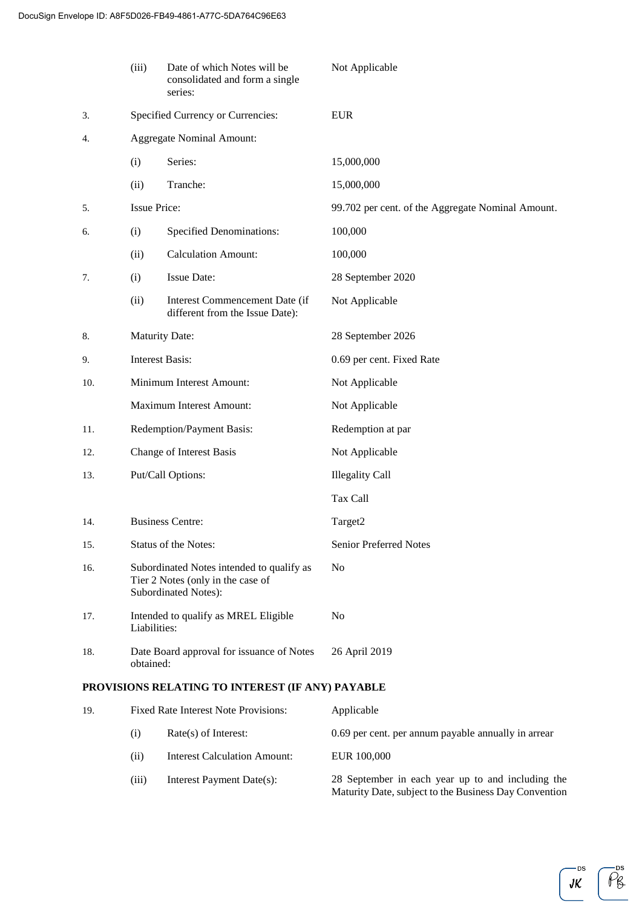|                                                  | (iii)                    | Date of which Notes will be<br>consolidated and form a single<br>series:                                      | Not Applicable                                    |
|--------------------------------------------------|--------------------------|---------------------------------------------------------------------------------------------------------------|---------------------------------------------------|
| 3.                                               |                          | Specified Currency or Currencies:                                                                             | <b>EUR</b>                                        |
| 4.                                               |                          | <b>Aggregate Nominal Amount:</b>                                                                              |                                                   |
|                                                  | (i)                      | Series:                                                                                                       | 15,000,000                                        |
|                                                  | (ii)                     | Tranche:                                                                                                      | 15,000,000                                        |
| 5.                                               | <b>Issue Price:</b>      |                                                                                                               | 99.702 per cent. of the Aggregate Nominal Amount. |
| 6.                                               | (i)                      | <b>Specified Denominations:</b>                                                                               | 100,000                                           |
|                                                  | (ii)                     | <b>Calculation Amount:</b>                                                                                    | 100,000                                           |
| 7.                                               | (i)                      | Issue Date:                                                                                                   | 28 September 2020                                 |
|                                                  | (ii)                     | Interest Commencement Date (if<br>different from the Issue Date):                                             | Not Applicable                                    |
| 8.                                               | <b>Maturity Date:</b>    |                                                                                                               | 28 September 2026                                 |
| 9.                                               | <b>Interest Basis:</b>   |                                                                                                               | 0.69 per cent. Fixed Rate                         |
| 10.                                              |                          | Minimum Interest Amount:                                                                                      | Not Applicable                                    |
|                                                  |                          | Maximum Interest Amount:                                                                                      | Not Applicable                                    |
| 11.                                              |                          | Redemption/Payment Basis:                                                                                     | Redemption at par                                 |
| 12.                                              | Change of Interest Basis |                                                                                                               | Not Applicable                                    |
| 13.                                              | Put/Call Options:        |                                                                                                               | <b>Illegality Call</b>                            |
|                                                  |                          |                                                                                                               | Tax Call                                          |
| 14.                                              |                          | <b>Business Centre:</b>                                                                                       | Target2                                           |
| 15.                                              |                          | Status of the Notes:                                                                                          | <b>Senior Preferred Notes</b>                     |
| 16.                                              |                          | Subordinated Notes intended to qualify as<br>Tier 2 Notes (only in the case of<br><b>Subordinated Notes):</b> | N <sub>0</sub>                                    |
| 17.                                              | Liabilities:             | Intended to qualify as MREL Eligible                                                                          | No                                                |
| 18.                                              | obtained:                | Date Board approval for issuance of Notes                                                                     | 26 April 2019                                     |
| PROVISIONS RELATING TO INTEREST (IF ANY) PAYABLE |                          |                                                                                                               |                                                   |

| 19. | <b>Fixed Rate Interest Note Provisions:</b> |                                     | Applicable                                                                                                 |
|-----|---------------------------------------------|-------------------------------------|------------------------------------------------------------------------------------------------------------|
|     | (1)                                         | $Rate(s)$ of Interest:              | 0.69 per cent. per annum payable annually in arrear                                                        |
|     | (i)                                         | <b>Interest Calculation Amount:</b> | EUR 100,000                                                                                                |
|     | (iii)                                       | Interest Payment Date(s):           | 28 September in each year up to and including the<br>Maturity Date, subject to the Business Day Convention |

—ds<br>*JK* 

 $\overline{\rho}^{\text{os}}_{\beta}$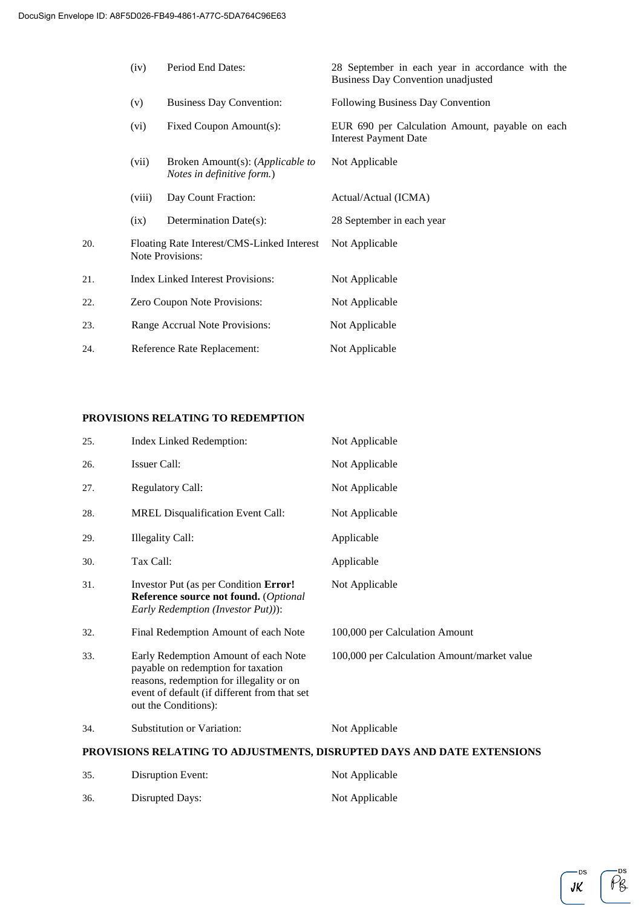|     | (iv)                                     | Period End Dates:                                                      | 28 September in each year in accordance with the<br><b>Business Day Convention unadjusted</b> |
|-----|------------------------------------------|------------------------------------------------------------------------|-----------------------------------------------------------------------------------------------|
|     | (v)                                      | <b>Business Day Convention:</b>                                        | Following Business Day Convention                                                             |
|     | (vi)                                     | Fixed Coupon Amount(s):                                                | EUR 690 per Calculation Amount, payable on each<br><b>Interest Payment Date</b>               |
|     | (vii)                                    | Broken Amount(s): ( <i>Applicable to</i><br>Notes in definitive form.) | Not Applicable                                                                                |
|     | (viii)                                   | Day Count Fraction:                                                    | Actual/Actual (ICMA)                                                                          |
|     | (ix)                                     | Determination Date(s):                                                 | 28 September in each year                                                                     |
| 20. |                                          | Floating Rate Interest/CMS-Linked Interest<br><b>Note Provisions:</b>  | Not Applicable                                                                                |
| 21. | <b>Index Linked Interest Provisions:</b> |                                                                        | Not Applicable                                                                                |
| 22. | Zero Coupon Note Provisions:             |                                                                        | Not Applicable                                                                                |
| 23. |                                          | Range Accrual Note Provisions:                                         | Not Applicable                                                                                |
| 24. | Reference Rate Replacement:              |                                                                        | Not Applicable                                                                                |

# **PROVISIONS RELATING TO REDEMPTION**

|     |                                                                                                                                                                                                | PROVISIONS RELATING TO ADJUSTMENTS, DISRUPTED DAYS AND DATE EXTENSIONS |
|-----|------------------------------------------------------------------------------------------------------------------------------------------------------------------------------------------------|------------------------------------------------------------------------|
| 34. | Substitution or Variation:                                                                                                                                                                     | Not Applicable                                                         |
| 33. | Early Redemption Amount of each Note<br>payable on redemption for taxation<br>reasons, redemption for illegality or on<br>event of default (if different from that set<br>out the Conditions): | 100,000 per Calculation Amount/market value                            |
| 32. | Final Redemption Amount of each Note                                                                                                                                                           | 100,000 per Calculation Amount                                         |
| 31. | Investor Put (as per Condition Error!<br>Reference source not found. (Optional<br>Early Redemption (Investor Put))):                                                                           | Not Applicable                                                         |
| 30. | Tax Call:                                                                                                                                                                                      | Applicable                                                             |
| 29. | <b>Illegality Call:</b>                                                                                                                                                                        | Applicable                                                             |
| 28. | <b>MREL Disqualification Event Call:</b>                                                                                                                                                       | Not Applicable                                                         |
| 27. | <b>Regulatory Call:</b>                                                                                                                                                                        | Not Applicable                                                         |
| 26. | Issuer Call:                                                                                                                                                                                   | Not Applicable                                                         |
| 25. | Index Linked Redemption:                                                                                                                                                                       | Not Applicable                                                         |

| 35. | Disruption Event: | Not Applicable |
|-----|-------------------|----------------|
| 36. | Disrupted Days:   | Not Applicable |

 $\tilde{\rho_{6}}$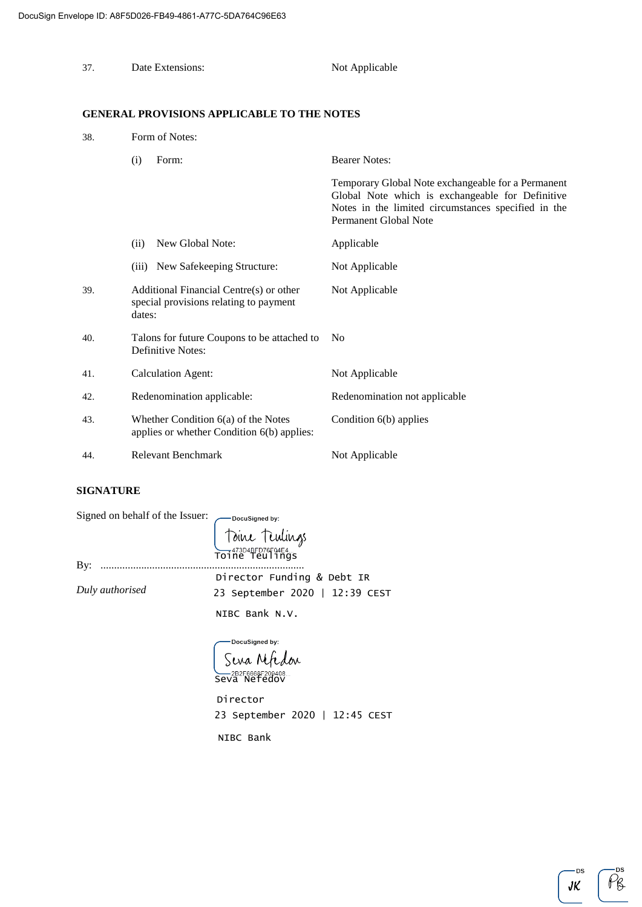| 37. | Date Extensions:                                                                            | Not Applicable                                                                                                                                                                         |  |  |
|-----|---------------------------------------------------------------------------------------------|----------------------------------------------------------------------------------------------------------------------------------------------------------------------------------------|--|--|
|     | <b>GENERAL PROVISIONS APPLICABLE TO THE NOTES</b>                                           |                                                                                                                                                                                        |  |  |
| 38. | Form of Notes:                                                                              |                                                                                                                                                                                        |  |  |
|     | (i)<br>Form:                                                                                | <b>Bearer Notes:</b>                                                                                                                                                                   |  |  |
|     |                                                                                             | Temporary Global Note exchangeable for a Permanent<br>Global Note which is exchangeable for Definitive<br>Notes in the limited circumstances specified in the<br>Permanent Global Note |  |  |
|     | New Global Note:<br>(ii)                                                                    | Applicable                                                                                                                                                                             |  |  |
|     | (iii) New Safekeeping Structure:                                                            | Not Applicable                                                                                                                                                                         |  |  |
| 39. | Additional Financial Centre(s) or other<br>special provisions relating to payment<br>dates: | Not Applicable                                                                                                                                                                         |  |  |
| 40. | Talons for future Coupons to be attached to<br>Definitive Notes:                            | N <sub>0</sub>                                                                                                                                                                         |  |  |
| 41. | <b>Calculation Agent:</b>                                                                   | Not Applicable                                                                                                                                                                         |  |  |
| 42. | Redenomination applicable:                                                                  | Redenomination not applicable                                                                                                                                                          |  |  |
| 43. | Whether Condition $6(a)$ of the Notes<br>applies or whether Condition 6(b) applies:         | Condition 6(b) applies                                                                                                                                                                 |  |  |
| 44. | <b>Relevant Benchmark</b>                                                                   | Not Applicable                                                                                                                                                                         |  |  |

# **SIGNATURE**

| Signed on behalf of the Issuer:<br>Toine Teulings<br>Toine Teulings |                                |
|---------------------------------------------------------------------|--------------------------------|
| By:                                                                 | Director Funding & Debt IR     |
| Duly authorised                                                     | 23 September 2020   12:39 CEST |
|                                                                     | NIBC Bank N.V.                 |

- DocuSigned by: Seva Nfedou E 2B2F6668F209408

23 September 2020 | 12:45 CEST Director

NIBC Bank

-DS  $JK$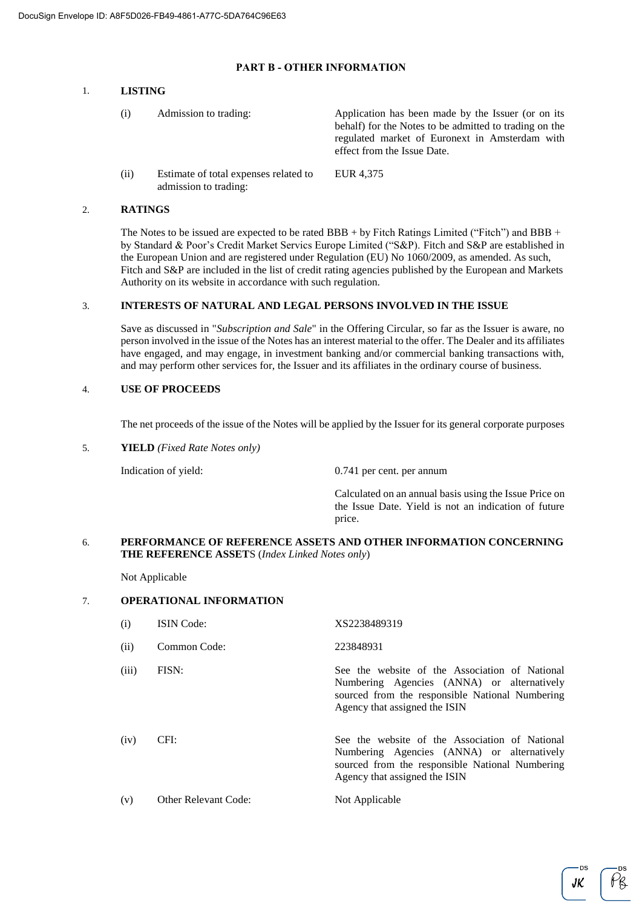# **PART B - OTHER INFORMATION**

### 1. **LISTING**

| (i)  | Admission to trading:                                          | Application has been made by the Issuer (or on its<br>behalf) for the Notes to be admitted to trading on the<br>regulated market of Euronext in Amsterdam with<br>effect from the Issue Date. |
|------|----------------------------------------------------------------|-----------------------------------------------------------------------------------------------------------------------------------------------------------------------------------------------|
| (ii) | Estimate of total expenses related to<br>admission to trading: | EUR 4,375                                                                                                                                                                                     |

# 2. **RATINGS**

The Notes to be issued are expected to be rated BBB + by Fitch Ratings Limited ("Fitch") and BBB + by Standard & Poor's Credit Market Servics Europe Limited ("S&P). Fitch and S&P are established in the European Union and are registered under Regulation (EU) No 1060/2009, as amended. As such, Fitch and S&P are included in the list of credit rating agencies published by the European and Markets Authority on its website in accordance with such regulation.

### 3. **INTERESTS OF NATURAL AND LEGAL PERSONS INVOLVED IN THE ISSUE**

Save as discussed in "*Subscription and Sale*" in the Offering Circular, so far as the Issuer is aware, no person involved in the issue of the Notes has an interest material to the offer. The Dealer and its affiliates have engaged, and may engage, in investment banking and/or commercial banking transactions with, and may perform other services for, the Issuer and its affiliates in the ordinary course of business.

# 4. **USE OF PROCEEDS**

The net proceeds of the issue of the Notes will be applied by the Issuer for its general corporate purposes

5. **YIELD** *(Fixed Rate Notes only)*

Indication of yield: 0.741 per cent. per annum

Calculated on an annual basis using the Issue Price on the Issue Date. Yield is not an indication of future price.

### 6. **PERFORMANCE OF REFERENCE ASSETS AND OTHER INFORMATION CONCERNING THE REFERENCE ASSET**S (*Index Linked Notes only*)

Not Applicable

# 7. **OPERATIONAL INFORMATION**

| (i)   | <b>ISIN</b> Code:    | XS2238489319                                                                                                                                                                     |
|-------|----------------------|----------------------------------------------------------------------------------------------------------------------------------------------------------------------------------|
| (ii)  | Common Code:         | 223848931                                                                                                                                                                        |
| (iii) | FISN:                | See the website of the Association of National<br>Numbering Agencies (ANNA) or alternatively<br>sourced from the responsible National Numbering<br>Agency that assigned the ISIN |
| (iv)  | CFI:                 | See the website of the Association of National<br>Numbering Agencies (ANNA) or alternatively<br>sourced from the responsible National Numbering<br>Agency that assigned the ISIN |
| (v)   | Other Relevant Code: | Not Applicable                                                                                                                                                                   |